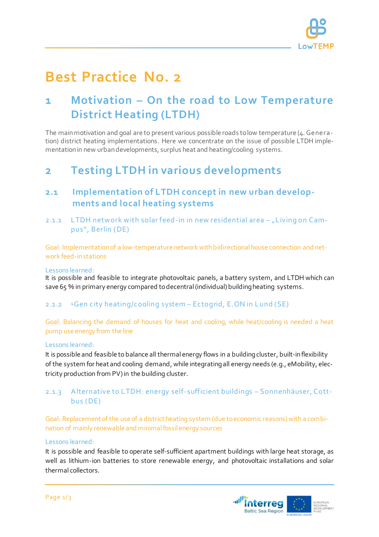

# **Best Practice No. 2**

## **1 Motivation – On the road to Low Temperature District Heating (LTDH)**

The main motivation and goal are to present various possible roads to low temperature (4. Generation) district heating implementations. Here we concentrate on the issue of possible LTDH implementation in new urban developments, surplus heat and heating/cooling systems.

## **2 Testing LTDH in various developments**

### **2.1 Implementation of LTDH concept in new urban developments and local heating systems**

2.1.1 LTDH network with solar feed-in in new residential area  $-$  "Living on Campus", Berlin (DE)

Goal: Implementation of a low-temperature network with bidirectional house connection and network feed-in stations

#### Lessons learned:

It is possible and feasible to integrate photovoltaic panels, a battery system, and LTDH which can save 65 % in primary energy compared to decentral (individual) building heating systems.

#### 2.1.2 <sup>4</sup>Gen city heating/cooling system – Ectogrid, E.ON in Lund (SE)

Goal: Balancing the demand of houses for heat and cooling, while heat/cooling is needed a heat pump use energy from the line

#### Lessons learned:

It is possible and feasible to balance all thermal energy flows in a building cluster, built-in flexibility of the system for heat and cooling demand, while integratingall energy needs (e.g., eMobility, electricity production from PV) in the building cluster.

#### 2.1.3 Alternative to LTDH: energy self-sufficient buildings – Sonnenhäuser, Cottbus (DE)

Goal: Replacement of the use of a district heating system (due to economic reasons) with a combination of mainly renewable and minimal fossil energy sources

#### Lessons learned:

It is possible and feasible to operate self-sufficient apartment buildings with large heat storage, as well as lithium-ion batteries to store renewable energy, and photovoltaic installations and solar thermal collectors.

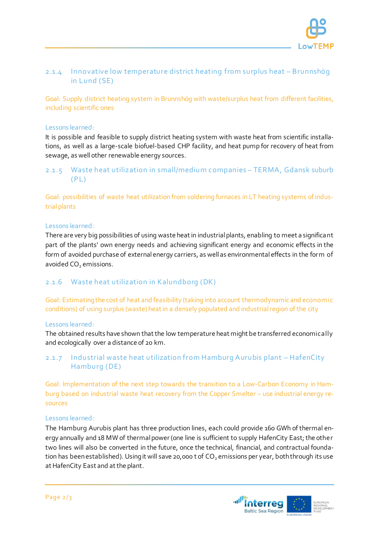

#### 2.1.4 Innovative low temperature district heating from surplus heat – Brunnshög in Lund (SE)

Goal: Supply district heating system in Brunnshög with waste/surplus heat from different facilities, including scientific ones

#### Lessons learned:

It is possible and feasible to supply district heating system with waste heat from scientific installations, as well as a large-scale biofuel-based CHP facility, and heat pump for recovery of heat from sewage, as well other renewable energy sources.

#### 2.1.5 Waste heat utilization in small/medium companies – TERMA, Gdansk suburb  $(PL)$

Goal: possibilities of waste heat utilization from soldering furnaces in LT heating systems of industrial plants

#### Lessons learned:

There are very big possibilities of using waste heat in industrial plants, enabling to meet a significant part of the plants' own energy needs and achieving significant energy and economic effects in the form of avoided purchase of external energy carriers, as well as environmental effects in the form of avoided CO<sub>2</sub> emissions.

#### 2.1.6 Waste heat utilization in Kalundborg (DK)

Goal: Estimatingthe cost of heat and feasibility (taking into account thermodynamic and econom ic conditions) of using surplus (waste) heat in a densely populated and industrial region of the city

#### Lessons learned:

The obtained results have shown that the low temperature heat might be transferred economically and ecologically over a distance of 20 km.

#### 2.1.7 Industrial waste heat utilization from Hamburg A urubis plant – HafenCity Hamburg (DE)

Goal: Implementation of the next step towards the transition to a Low-Carbon Economy in Hamburg based on industrial waste heat recovery from the Copper Smelter – use industrial energy resources

#### Lessons learned:

The Hamburg Aurubis plant has three production lines, each could provide 160 GWh of thermal energy annually and 18 MWof thermal power (one line is sufficient to supply HafenCity East; the other two lines will also be converted in the future, once the technical, financial, and contractual foundation has been established). Using it will save 20,000 t of  $CO<sub>2</sub>$  emissions per year, both through its use at HafenCity East and at the plant.